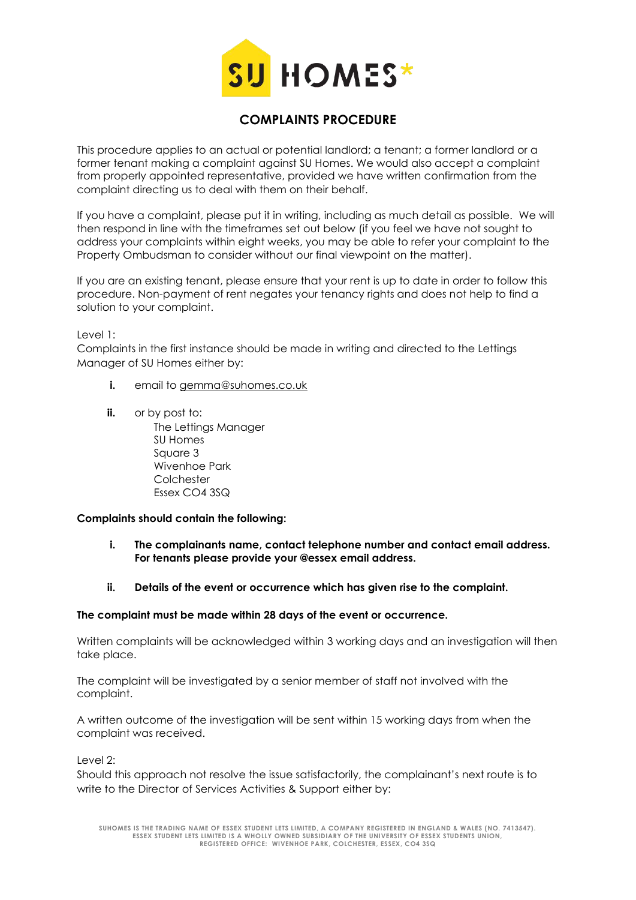

## **COMPLAINTS PROCEDURE**

This procedure applies to an actual or potential landlord; a tenant; a former landlord or a former tenant making a complaint against SU Homes. We would also accept a complaint from properly appointed representative, provided we have written confirmation from the complaint directing us to deal with them on their behalf.

If you have a complaint, please put it in writing, including as much detail as possible. We will then respond in line with the timeframes set out below (if you feel we have not sought to address your complaints within eight weeks, you may be able to refer your complaint to the Property Ombudsman to consider without our final viewpoint on the matter).

If you are an existing tenant, please ensure that your rent is up to date in order to follow this procedure. Non-payment of rent negates your tenancy rights and does not help to find a solution to your complaint.

Level 1:

Complaints in the first instance should be made in writing and directed to the Lettings Manager of SU Homes either by:

- **i.** email to [gemma@suhomes.co.uk](mailto:gemma@suhomes.co.uk)
- **ii.** or by post to: The Lettings Manager SU Homes Square 3 Wivenhoe Park **Colchester** Essex CO4 3SQ

## **Complaints should contain the following:**

- **i. The complainants name, contact telephone number and contact email address. For tenants please provide your @essex email address.**
- **ii. Details of the event or occurrence which has given rise to the complaint.**

## **The complaint must be made within 28 days of the event or occurrence.**

Written complaints will be acknowledged within 3 working days and an investigation will then take place.

The complaint will be investigated by a senior member of staff not involved with the complaint.

A written outcome of the investigation will be sent within 15 working days from when the complaint was received.

Level 2:

Should this approach not resolve the issue satisfactorily, the complainant's next route is to write to the Director of Services Activities & Support either by: